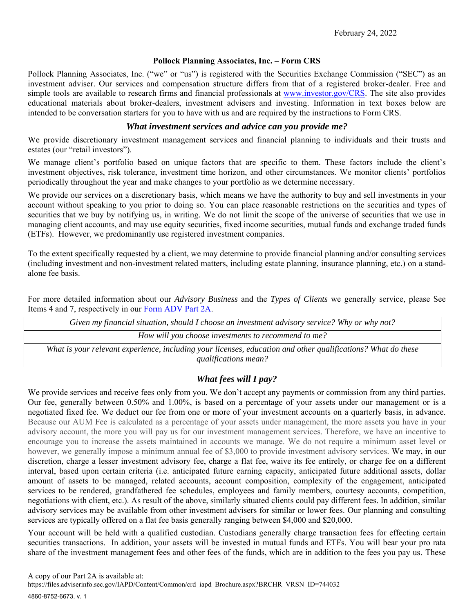#### **Pollock Planning Associates, Inc. – Form CRS**

Pollock Planning Associates, Inc. ("we" or "us") is registered with the Securities Exchange Commission ("SEC") as an investment adviser. Our services and compensation structure differs from that of a registered broker-dealer. Free and simple tools are available to research firms and financial professionals at www.investor.gov/CRS. The site also provides educational materials about broker-dealers, investment advisers and investing. Information in text boxes below are intended to be conversation starters for you to have with us and are required by the instructions to Form CRS.

### *What investment services and advice can you provide me?*

We provide discretionary investment management services and financial planning to individuals and their trusts and estates (our "retail investors").

We manage client's portfolio based on unique factors that are specific to them. These factors include the client's investment objectives, risk tolerance, investment time horizon, and other circumstances. We monitor clients' portfolios periodically throughout the year and make changes to your portfolio as we determine necessary.

We provide our services on a discretionary basis, which means we have the authority to buy and sell investments in your account without speaking to you prior to doing so. You can place reasonable restrictions on the securities and types of securities that we buy by notifying us, in writing. We do not limit the scope of the universe of securities that we use in managing client accounts, and may use equity securities, fixed income securities, mutual funds and exchange traded funds (ETFs). However, we predominantly use registered investment companies.

To the extent specifically requested by a client, we may determine to provide financial planning and/or consulting services (including investment and non-investment related matters, including estate planning, insurance planning, etc.) on a standalone fee basis.

For more detailed information about our *Advisory Business* and the *Types of Clients* we generally service, please See Items 4 and 7, respectively in our Form ADV Part 2A.

| Given my financial situation, should I choose an investment advisory service? Why or why not?                |
|--------------------------------------------------------------------------------------------------------------|
| How will you choose investments to recommend to me?                                                          |
| What is your relevant experience, including your licenses, education and other qualifications? What do these |
| qualifications mean?                                                                                         |

## *What fees will I pay?*

We provide services and receive fees only from you. We don't accept any payments or commission from any third parties. Our fee, generally between 0.50% and 1.00%, is based on a percentage of your assets under our management or is a negotiated fixed fee. We deduct our fee from one or more of your investment accounts on a quarterly basis, in advance. Because our AUM Fee is calculated as a percentage of your assets under management, the more assets you have in your advisory account, the more you will pay us for our investment management services. Therefore, we have an incentive to encourage you to increase the assets maintained in accounts we manage. We do not require a minimum asset level or however, we generally impose a minimum annual fee of \$3,000 to provide investment advisory services. We may, in our discretion, charge a lesser investment advisory fee, charge a flat fee, waive its fee entirely, or charge fee on a different interval, based upon certain criteria (i.e. anticipated future earning capacity, anticipated future additional assets, dollar amount of assets to be managed, related accounts, account composition, complexity of the engagement, anticipated services to be rendered, grandfathered fee schedules, employees and family members, courtesy accounts, competition, negotiations with client, etc.). As result of the above, similarly situated clients could pay different fees. In addition, similar advisory services may be available from other investment advisers for similar or lower fees. Our planning and consulting services are typically offered on a flat fee basis generally ranging between \$4,000 and \$20,000.

Your account will be held with a qualified custodian. Custodians generally charge transaction fees for effecting certain securities transactions. In addition, your assets will be invested in mutual funds and ETFs. You will bear your pro rata share of the investment management fees and other fees of the funds, which are in addition to the fees you pay us. These